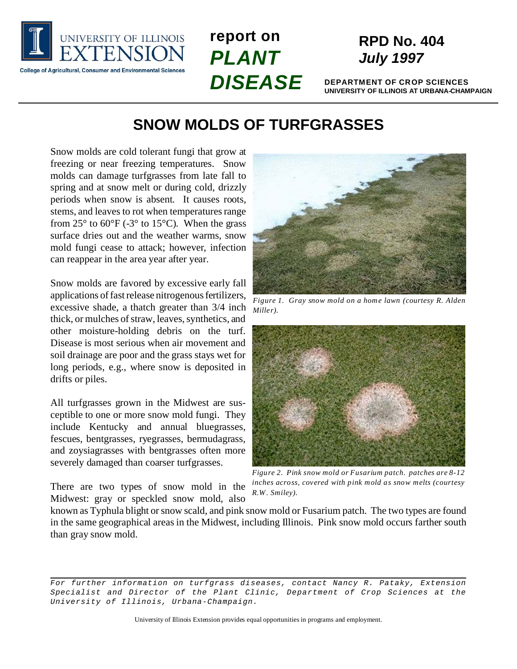

**report on** *PLANT DISEASE*

# **RPD No. 404** *July 1997*

**DEPARTMENT OF CROP SCIENCES UNIVERSITY OF ILLINOIS AT URBANA-CHAMPAIGN**

## **SNOW MOLDS OF TURFGRASSES**

Snow molds are cold tolerant fungi that grow at freezing or near freezing temperatures. Snow molds can damage turfgrasses from late fall to spring and at snow melt or during cold, drizzly periods when snow is absent. It causes roots, stems, and leaves to rot when temperatures range from  $25^{\circ}$  to  $60^{\circ}$ F (-3<sup>o</sup> to 15<sup>o</sup>C). When the grass surface dries out and the weather warms, snow mold fungi cease to attack; however, infection can reappear in the area year after year.

Snow molds are favored by excessive early fall applications of fast release nitrogenous fertilizers, excessive shade, a thatch greater than 3/4 inch thick, or mulches of straw, leaves, synthetics, and other moisture-holding debris on the turf. Disease is most serious when air movement and soil drainage are poor and the grass stays wet for long periods, e.g., where snow is deposited in drifts or piles.

All turfgrasses grown in the Midwest are susceptible to one or more snow mold fungi. They include Kentucky and annual bluegrasses, fescues, bentgrasses, ryegrasses, bermudagrass, and zoysiagrasses with bentgrasses often more severely damaged than coarser turfgrasses.

There are two types of snow mold in the Midwest: gray or speckled snow mold, also



*Figure 1. Gray snow mold on a home lawn (courtesy R. Alden Miller).*



*Figure 2. Pink snow mold or Fusarium patch. patches are 8-12 inches across, covered with pink mold as snow melts (courtesy R.W. Smiley).*

known as Typhula blight or snow scald, and pink snow mold or Fusarium patch. The two types are found in the same geographical areas in the Midwest, including Illinois. Pink snow mold occurs farther south than gray snow mold.

*For further information on turfgrass diseases, contact Nancy R. Pataky, Extension Specialist and Director of the Plant Clinic, Department of Crop Sciences at the University of Illinois, Urbana-Champaign.*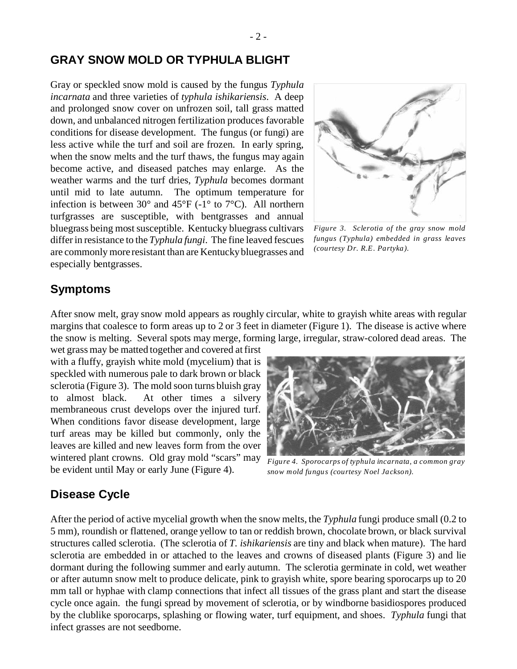#### **GRAY SNOW MOLD OR TYPHULA BLIGHT**

Gray or speckled snow mold is caused by the fungus *Typhula incarnata* and three varieties of *typhula ishikariensis*. A deep and prolonged snow cover on unfrozen soil, tall grass matted down, and unbalanced nitrogen fertilization produces favorable conditions for disease development. The fungus (or fungi) are less active while the turf and soil are frozen. In early spring, when the snow melts and the turf thaws, the fungus may again become active, and diseased patches may enlarge. As the weather warms and the turf dries, *Typhula* becomes dormant until mid to late autumn. The optimum temperature for infection is between 30° and 45°F (-1° to 7°C). All northern turfgrasses are susceptible, with bentgrasses and annual bluegrass being most susceptible. Kentucky bluegrass cultivars differ in resistance to the *Typhula fungi*. The fine leaved fescues are commonly more resistant than are Kentucky bluegrasses and especially bentgrasses.



*Figure 3. Sclerotia of the gray snow mold fungus (Typhula) embedded in grass leaves (courtesy Dr. R.E. Partyka).*

#### **Symptoms**

After snow melt, gray snow mold appears as roughly circular, white to grayish white areas with regular margins that coalesce to form areas up to 2 or 3 feet in diameter (Figure 1). The disease is active where the snow is melting. Several spots may merge, forming large, irregular, straw-colored dead areas. The

wet grass may be matted together and covered at first with a fluffy, grayish white mold (mycelium) that is speckled with numerous pale to dark brown or black sclerotia (Figure 3). The mold soon turns bluish gray to almost black. At other times a silvery membraneous crust develops over the injured turf. When conditions favor disease development, large turf areas may be killed but commonly, only the leaves are killed and new leaves form from the over wintered plant crowns. Old gray mold "scars" may be evident until May or early June (Figure 4).



*Figure 4. Sporocarps of typhula incarnata, a common gray snow mold fungus (courtesy Noel Jackson).*

#### **Disease Cycle**

After the period of active mycelial growth when the snow melts, the *Typhula* fungi produce small (0.2 to 5 mm), roundish or flattened, orange yellow to tan or reddish brown, chocolate brown, or black survival structures called sclerotia. (The sclerotia of *T. ishikariensis* are tiny and black when mature). The hard sclerotia are embedded in or attached to the leaves and crowns of diseased plants (Figure 3) and lie dormant during the following summer and early autumn. The sclerotia germinate in cold, wet weather or after autumn snow melt to produce delicate, pink to grayish white, spore bearing sporocarps up to 20 mm tall or hyphae with clamp connections that infect all tissues of the grass plant and start the disease cycle once again. the fungi spread by movement of sclerotia, or by windborne basidiospores produced by the clublike sporocarps, splashing or flowing water, turf equipment, and shoes. *Typhula* fungi that infect grasses are not seedborne.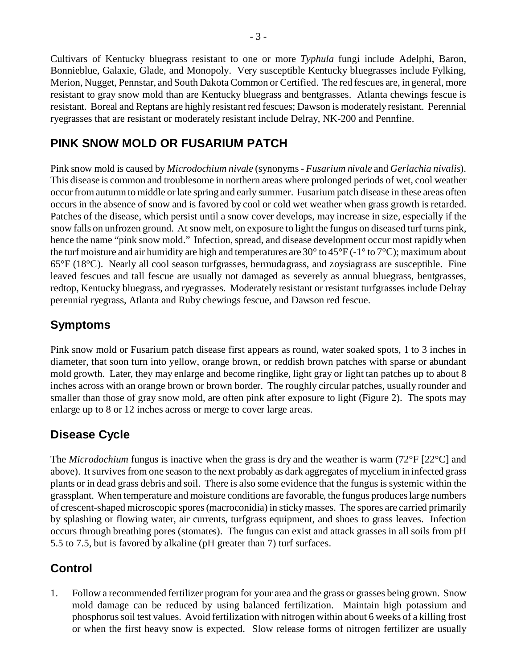Cultivars of Kentucky bluegrass resistant to one or more *Typhula* fungi include Adelphi, Baron, Bonnieblue, Galaxie, Glade, and Monopoly. Very susceptible Kentucky bluegrasses include Fylking, Merion, Nugget, Pennstar, and South Dakota Common or Certified. The red fescues are, in general, more resistant to gray snow mold than are Kentucky bluegrass and bentgrasses. Atlanta chewings fescue is resistant. Boreal and Reptans are highly resistant red fescues; Dawson is moderately resistant. Perennial ryegrasses that are resistant or moderately resistant include Delray, NK-200 and Pennfine.

### **PINK SNOW MOLD OR FUSARIUM PATCH**

Pink snow mold is caused by *Microdochium nivale* (synonyms - *Fusarium nivale* and *Gerlachia nivalis*). This disease is common and troublesome in northern areas where prolonged periods of wet, cool weather occur from autumn to middle or late spring and early summer. Fusarium patch disease in these areas often occurs in the absence of snow and is favored by cool or cold wet weather when grass growth is retarded. Patches of the disease, which persist until a snow cover develops, may increase in size, especially if the snow falls on unfrozen ground. At snow melt, on exposure to light the fungus on diseased turf turns pink, hence the name "pink snow mold." Infection, spread, and disease development occur most rapidly when the turf moisture and air humidity are high and temperatures are 30 $\degree$  to 45 $\degree$ F (-1 $\degree$  to 7 $\degree$ C); maximum about 65°F (18°C). Nearly all cool season turfgrasses, bermudagrass, and zoysiagrass are susceptible. Fine leaved fescues and tall fescue are usually not damaged as severely as annual bluegrass, bentgrasses, redtop, Kentucky bluegrass, and ryegrasses. Moderately resistant or resistant turfgrasses include Delray perennial ryegrass, Atlanta and Ruby chewings fescue, and Dawson red fescue.

### **Symptoms**

Pink snow mold or Fusarium patch disease first appears as round, water soaked spots, 1 to 3 inches in diameter, that soon turn into yellow, orange brown, or reddish brown patches with sparse or abundant mold growth. Later, they may enlarge and become ringlike, light gray or light tan patches up to about 8 inches across with an orange brown or brown border. The roughly circular patches, usually rounder and smaller than those of gray snow mold, are often pink after exposure to light (Figure 2). The spots may enlarge up to 8 or 12 inches across or merge to cover large areas.

### **Disease Cycle**

The *Microdochium* fungus is inactive when the grass is dry and the weather is warm (72°F [22°C] and above). It survives from one season to the next probably as dark aggregates of mycelium in infected grass plants or in dead grass debris and soil. There is also some evidence that the fungus is systemic within the grassplant. When temperature and moisture conditions are favorable, the fungus produces large numbers of crescent-shaped microscopic spores (macroconidia) in sticky masses. The spores are carried primarily by splashing or flowing water, air currents, turfgrass equipment, and shoes to grass leaves. Infection occurs through breathing pores (stomates). The fungus can exist and attack grasses in all soils from pH 5.5 to 7.5, but is favored by alkaline (pH greater than 7) turf surfaces.

## **Control**

1. Follow a recommended fertilizer program for your area and the grass or grasses being grown. Snow mold damage can be reduced by using balanced fertilization. Maintain high potassium and phosphorus soil test values. Avoid fertilization with nitrogen within about 6 weeks of a killing frost or when the first heavy snow is expected. Slow release forms of nitrogen fertilizer are usually